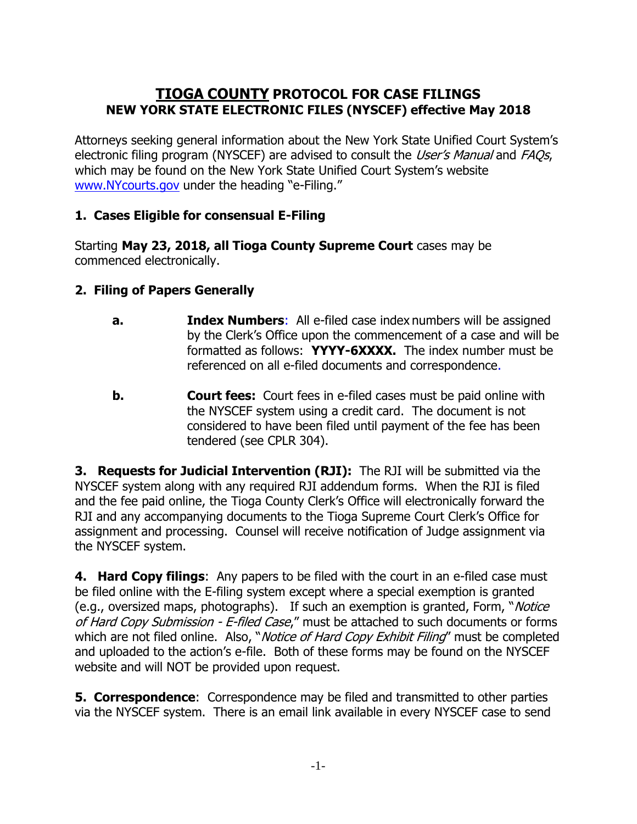# **TIOGA COUNTY PROTOCOL FOR CASE FILINGS NEW YORK STATE ELECTRONIC FILES (NYSCEF) effective May 2018**

Attorneys seeking general information about the New York State Unified Court System's electronic filing program (NYSCEF) are advised to consult the User's Manual and FAOs, which may be found on the New York State Unified Court System's website [www.NYcourts.gov](http://www.nycourts.gov)/) under the heading "e-Filing."

## **1. Cases Eligible for consensual E-Filing**

Starting **May 23, 2018, all Tioga County Supreme Court** cases may be commenced electronically.

## **2. Filing of Papers Generally**

- **a.** Index Numbers: All e-filed case index numbers will be assigned by the Clerk's Office upon the commencement of a case and will be formatted as follows: **YYYY-6XXXX.** The index number must be referenced on all e-filed documents and correspondence.
- **b. Court fees:** Court fees in e-filed cases must be paid online with the NYSCEF system using a credit card. The document is not considered to have been filed until payment of the fee has been tendered (see CPLR 304).

**3. Requests for Judicial Intervention (RJI):** The RJI will be submitted via the NYSCEF system along with any required RJI addendum forms. When the RJI is filed and the fee paid online, the Tioga County Clerk's Office will electronically forward the RJI and any accompanying documents to the Tioga Supreme Court Clerk's Office for assignment and processing. Counsel will receive notification of Judge assignment via the NYSCEF system.

**4. Hard Copy filings**: Any papers to be filed with the court in an e-filed case must be filed online with the E-filing system except where a special exemption is granted (e.g., oversized maps, photographs). If such an exemption is granted, Form, "Notice of Hard Copy Submission - E-filed Case," must be attached to such documents or forms which are not filed online. Also, "Notice of Hard Copy Exhibit Filing" must be completed and uploaded to the action's e-file. Both of these forms may be found on the NYSCEF website and will NOT be provided upon request.

**5. Correspondence**: Correspondence may be filed and transmitted to other parties via the NYSCEF system. There is an email link available in every NYSCEF case to send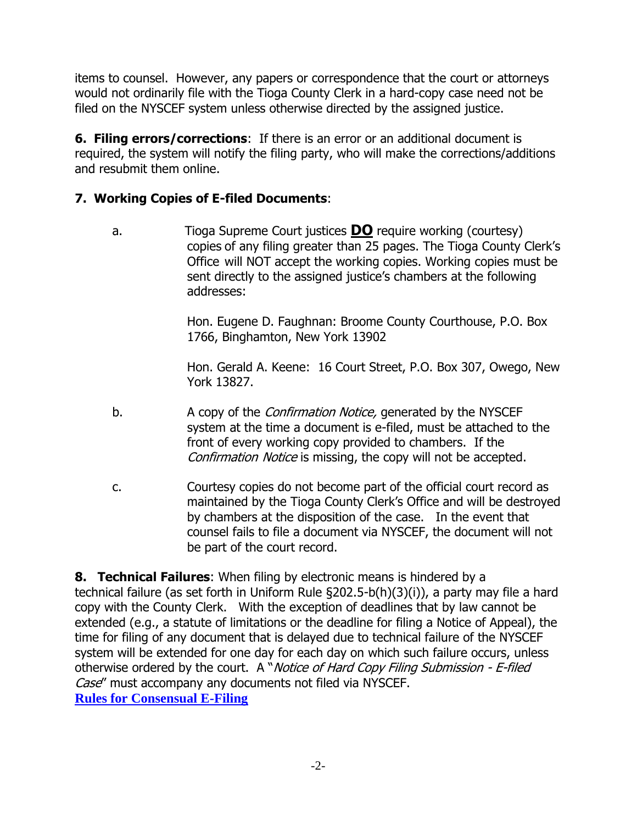items to counsel. However, any papers or correspondence that the court or attorneys would not ordinarily file with the Tioga County Clerk in a hard-copy case need not be filed on the NYSCEF system unless otherwise directed by the assigned justice.

**6. Filing errors/corrections**: If there is an error or an additional document is required, the system will notify the filing party, who will make the corrections/additions and resubmit them online.

## **7. Working Copies of E-filed Documents**:

a. Tioga Supreme Court justices **DO** require working (courtesy) copies of any filing greater than 25 pages. The Tioga County Clerk's Office will NOT accept the working copies. Working copies must be sent directly to the assigned justice's chambers at the following addresses:

> Hon. Eugene D. Faughnan: Broome County Courthouse, P.O. Box 1766, Binghamton, New York 13902

Hon. Gerald A. Keene: 16 Court Street, P.O. Box 307, Owego, New York 13827.

- b. A copy of the *Confirmation Notice*, generated by the NYSCEF system at the time a document is e-filed, must be attached to the front of every working copy provided to chambers. If the Confirmation Notice is missing, the copy will not be accepted.
- c. Courtesy copies do not become part of the official court record as maintained by the Tioga County Clerk's Office and will be destroyed by chambers at the disposition of the case. In the event that counsel fails to file a document via NYSCEF, the document will not be part of the court record.

**8. Technical Failures**: When filing by electronic means is hindered by a technical failure (as set forth in Uniform Rule §202.5-b(h)(3)(i)), a party may file a hard copy with the County Clerk. With the exception of deadlines that by law cannot be extended (e.g., a statute of limitations or the deadline for filing a Notice of Appeal), the time for filing of any document that is delayed due to technical failure of the NYSCEF system will be extended for one day for each day on which such failure occurs, unless otherwise ordered by the court. A "Notice of Hard Copy Filing Submission - E-filed Case" must accompany any documents not filed via NYSCEF. **[Rules for Consensual E-Filing](https://iappscontent.courts.state.ny.us/NYSCEF/live/legislation/Rule202.5b.pdf)**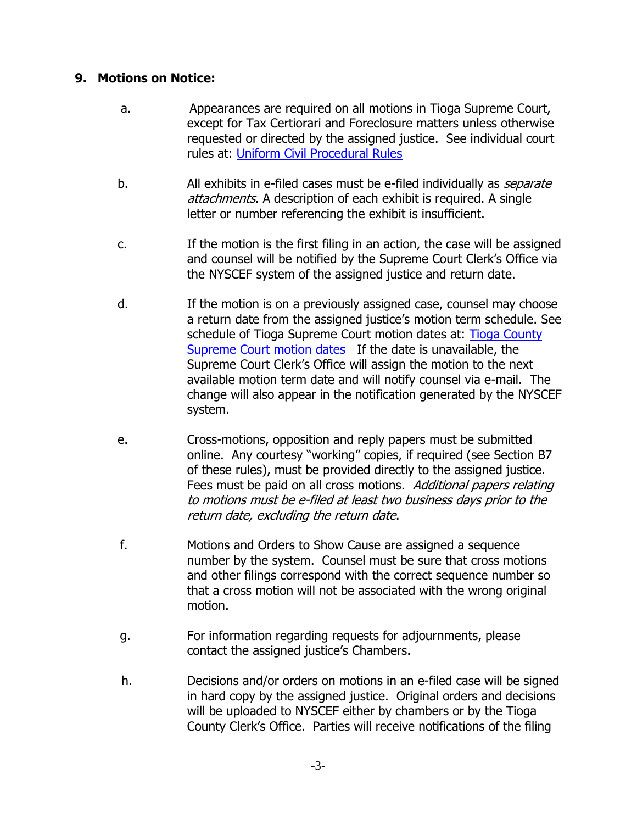#### **9. Motions on Notice:**

- a. Appearances are required on all motions in Tioga Supreme Court, except for Tax Certiorari and Foreclosure matters unless otherwise requested or directed by the assigned justice. See individual court rules at: [Uniform Civil Procedural Rules](http://www.nycourts.gov/courts/6jd/rules.shtml)
- b. All exhibits in e-filed cases must be e-filed individually as *separate* attachments. A description of each exhibit is required. A single letter or number referencing the exhibit is insufficient.
- c. If the motion is the first filing in an action, the case will be assigned and counsel will be notified by the Supreme Court Clerk's Office via the NYSCEF system of the assigned justice and return date.
- d. If the motion is on a previously assigned case, counsel may choose a return date from the assigned justice's motion term schedule. See schedule of Tioga Supreme Court motion dates at: [Tioga County](http://www.nycourts.gov/courts/6jd/tioga/supreme-county/motion.shtml)  [Supreme Court motion dates](http://www.nycourts.gov/courts/6jd/tioga/supreme-county/motion.shtml) If the date is unavailable, the Supreme Court Clerk's Office will assign the motion to the next available motion term date and will notify counsel via e-mail. The change will also appear in the notification generated by the NYSCEF system.
- e. Cross-motions, opposition and reply papers must be submitted online. Any courtesy "working" copies, if required (see Section B7 of these rules), must be provided directly to the assigned justice. Fees must be paid on all cross motions. Additional papers relating to motions must be e-filed at least two business days prior to the return date, excluding the return date.
- f. Motions and Orders to Show Cause are assigned a sequence number by the system. Counsel must be sure that cross motions and other filings correspond with the correct sequence number so that a cross motion will not be associated with the wrong original motion.
- g. For information regarding requests for adjournments, please contact the assigned justice's Chambers.
- h. Decisions and/or orders on motions in an e-filed case will be signed in hard copy by the assigned justice. Original orders and decisions will be uploaded to NYSCEF either by chambers or by the Tioga County Clerk's Office. Parties will receive notifications of the filing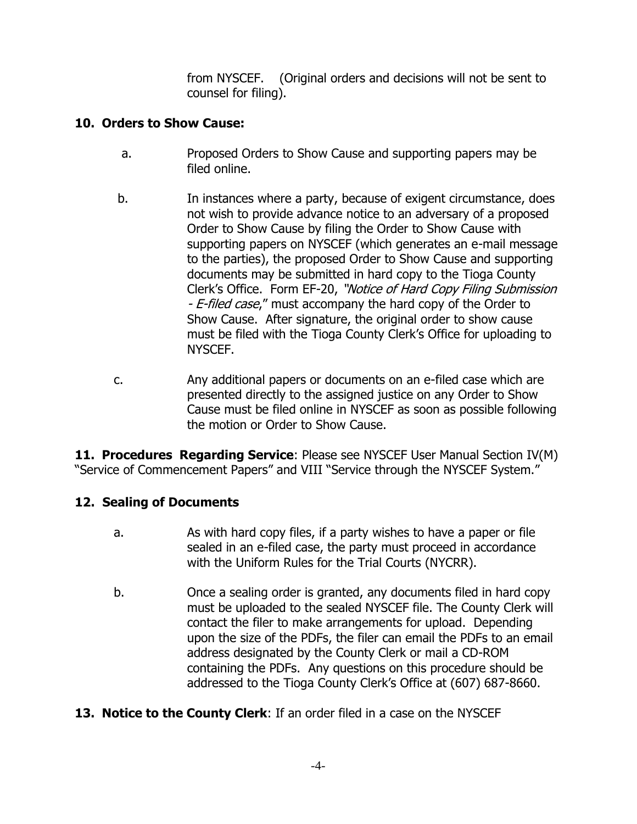from NYSCEF. (Original orders and decisions will not be sent to counsel for filing).

#### **10. Orders to Show Cause:**

- a. Proposed Orders to Show Cause and supporting papers may be filed online.
- b. In instances where a party, because of exigent circumstance, does not wish to provide advance notice to an adversary of a proposed Order to Show Cause by filing the Order to Show Cause with supporting papers on NYSCEF (which generates an e-mail message to the parties), the proposed Order to Show Cause and supporting documents may be submitted in hard copy to the Tioga County Clerk's Office. Form EF-20, "Notice of Hard Copy Filing Submission - E-filed case," must accompany the hard copy of the Order to Show Cause. After signature, the original order to show cause must be filed with the Tioga County Clerk's Office for uploading to NYSCEF.
- c. Any additional papers or documents on an e-filed case which are presented directly to the assigned justice on any Order to Show Cause must be filed online in NYSCEF as soon as possible following the motion or Order to Show Cause.

**11. Procedures Regarding Service:** Please see NYSCEF User Manual Section IV(M) "Service of Commencement Papers" and VIII "Service through the NYSCEF System."

## **12. Sealing of Documents**

- a. As with hard copy files, if a party wishes to have a paper or file sealed in an e-filed case, the party must proceed in accordance with the Uniform Rules for the Trial Courts (NYCRR).
- b. Once a sealing order is granted, any documents filed in hard copy must be uploaded to the sealed NYSCEF file. The County Clerk will contact the filer to make arrangements for upload. Depending upon the size of the PDFs, the filer can email the PDFs to an email address designated by the County Clerk or mail a CD-ROM containing the PDFs. Any questions on this procedure should be addressed to the Tioga County Clerk's Office at (607) 687-8660.
- **13. Notice to the County Clerk:** If an order filed in a case on the NYSCEF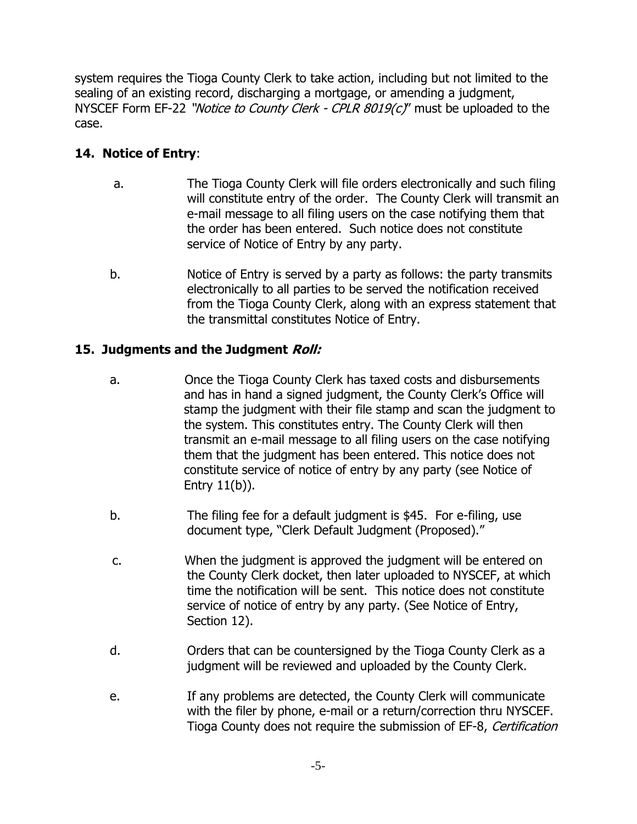system requires the Tioga County Clerk to take action, including but not limited to the sealing of an existing record, discharging a mortgage, or amending a judgment, NYSCEF Form EF-22 "*Notice to County Clerk - CPLR*  $8019(c)$ *"* must be uploaded to the case.

# **14. Notice of Entry**:

- a. The Tioga County Clerk will file orders electronically and such filing will constitute entry of the order. The County Clerk will transmit an e-mail message to all filing users on the case notifying them that the order has been entered. Such notice does not constitute service of Notice of Entry by any party.
- b. Notice of Entry is served by a party as follows: the party transmits electronically to all parties to be served the notification received from the Tioga County Clerk, along with an express statement that the transmittal constitutes Notice of Entry.

## **15. Judgments and the Judgment Roll:**

- a. Once the Tioga County Clerk has taxed costs and disbursements and has in hand a signed judgment, the County Clerk's Office will stamp the judgment with their file stamp and scan the judgment to the system. This constitutes entry. The County Clerk will then transmit an e-mail message to all filing users on the case notifying them that the judgment has been entered. This notice does not constitute service of notice of entry by any party (see Notice of Entry 11(b)).
- b. The filing fee for a default judgment is \$45. For e-filing, use document type, "Clerk Default Judgment (Proposed)."
- c. When the judgment is approved the judgment will be entered on the County Clerk docket, then later uploaded to NYSCEF, at which time the notification will be sent. This notice does not constitute service of notice of entry by any party. (See Notice of Entry, Section 12).
- d. Orders that can be countersigned by the Tioga County Clerk as a judgment will be reviewed and uploaded by the County Clerk.
- e. If any problems are detected, the County Clerk will communicate with the filer by phone, e-mail or a return/correction thru NYSCEF. Tioga County does not require the submission of EF-8, Certification